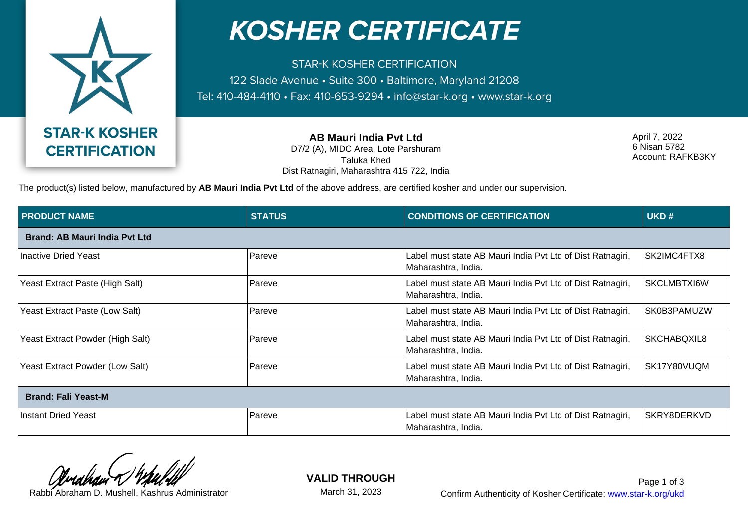

## **KOSHER CERTIFICATE**

**STAR-K KOSHER CERTIFICATION** 122 Slade Avenue · Suite 300 · Baltimore, Maryland 21208 Tel: 410-484-4110 · Fax: 410-653-9294 · info@star-k.org · www.star-k.org

**AB Mauri India Pvt Ltd**

D7/2 (A), MIDC Area, Lote Parshuram Taluka Khed Dist Ratnagiri, Maharashtra 415 722, India April 7, 2022 6 Nisan 5782 Account: RAFKB3KY

The product(s) listed below, manufactured by **AB Mauri India Pvt Ltd** of the above address, are certified kosher and under our supervision.

| <b>PRODUCT NAME</b>                  | <b>STATUS</b> | <b>CONDITIONS OF CERTIFICATION</b>                                                | UKD#               |  |  |
|--------------------------------------|---------------|-----------------------------------------------------------------------------------|--------------------|--|--|
| <b>Brand: AB Mauri India Pvt Ltd</b> |               |                                                                                   |                    |  |  |
| Inactive Dried Yeast                 | Pareve        | Label must state AB Mauri India Pvt Ltd of Dist Ratnagiri,<br>Maharashtra, India. | SK2IMC4FTX8        |  |  |
| Yeast Extract Paste (High Salt)      | Pareve        | Label must state AB Mauri India Pvt Ltd of Dist Ratnagiri,<br>Maharashtra, India. | <b>SKCLMBTXI6W</b> |  |  |
| Yeast Extract Paste (Low Salt)       | <b>Pareve</b> | Label must state AB Mauri India Pvt Ltd of Dist Ratnagiri,<br>Maharashtra, India. | SK0B3PAMUZW        |  |  |
| Yeast Extract Powder (High Salt)     | Pareve        | Label must state AB Mauri India Pvt Ltd of Dist Ratnagiri,<br>Maharashtra, India. | SKCHABQXIL8        |  |  |
| Yeast Extract Powder (Low Salt)      | Pareve        | Label must state AB Mauri India Pvt Ltd of Dist Ratnagiri,<br>Maharashtra, India. | SK17Y80VUQM        |  |  |
| <b>Brand: Fali Yeast-M</b>           |               |                                                                                   |                    |  |  |
| <b>Instant Dried Yeast</b>           | Pareve        | Label must state AB Mauri India Pvt Ltd of Dist Ratnagiri,<br>Maharashtra, India. | SKRY8DERKVD        |  |  |

**VALID THROUGH**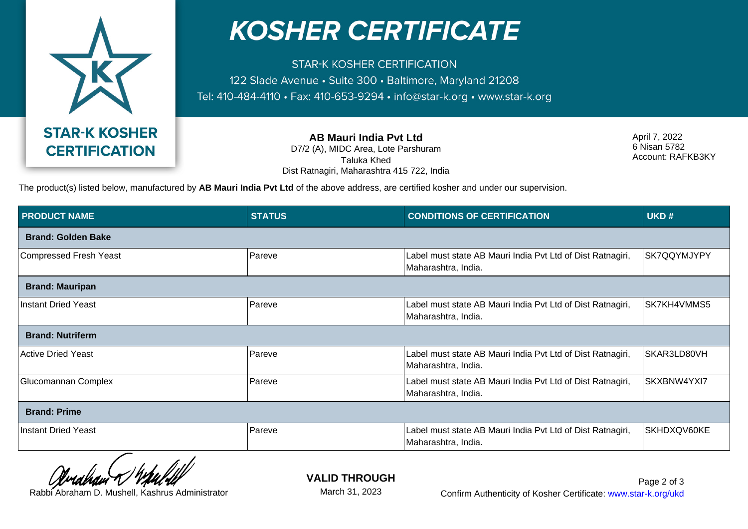

## **KOSHER CERTIFICATE**

**STAR-K KOSHER CERTIFICATION** 122 Slade Avenue · Suite 300 · Baltimore, Maryland 21208 Tel: 410-484-4110 · Fax: 410-653-9294 · info@star-k.org · www.star-k.org

> **AB Mauri India Pvt Ltd** D7/2 (A), MIDC Area, Lote Parshuram Taluka Khed

Dist Ratnagiri, Maharashtra 415 722, India

April 7, 2022 6 Nisan 5782 Account: RAFKB3KY

The product(s) listed below, manufactured by **AB Mauri India Pvt Ltd** of the above address, are certified kosher and under our supervision.

| <b>PRODUCT NAME</b>             | <b>STATUS</b> | <b>CONDITIONS OF CERTIFICATION</b>                                                | UKD#        |  |  |
|---------------------------------|---------------|-----------------------------------------------------------------------------------|-------------|--|--|
| <b>Brand: Golden Bake</b>       |               |                                                                                   |             |  |  |
| <b>Compressed Fresh Yeast</b>   | Pareve        | Label must state AB Mauri India Pvt Ltd of Dist Ratnagiri,<br>Maharashtra, India. | SK7QQYMJYPY |  |  |
| <b>Brand: Mauripan</b>          |               |                                                                                   |             |  |  |
| <b>Instant Dried Yeast</b>      | Pareve        | Label must state AB Mauri India Pvt Ltd of Dist Ratnagiri,<br>Maharashtra, India. | SK7KH4VMMS5 |  |  |
| <b>Brand: Nutriferm</b>         |               |                                                                                   |             |  |  |
| <b>Active Dried Yeast</b>       | Pareve        | Label must state AB Mauri India Pvt Ltd of Dist Ratnagiri,<br>Maharashtra, India. | SKAR3LD80VH |  |  |
| Glucomannan Complex             | Pareve        | Label must state AB Mauri India Pvt Ltd of Dist Ratnagiri,<br>Maharashtra, India. | SKXBNW4YXI7 |  |  |
| <b>Brand: Prime</b>             |               |                                                                                   |             |  |  |
| <b>Instant Dried Yeast</b><br>- | Pareve        | Label must state AB Mauri India Pvt Ltd of Dist Ratnagiri,<br>Maharashtra, India. | SKHDXQV60KE |  |  |

**VALID THROUGH**